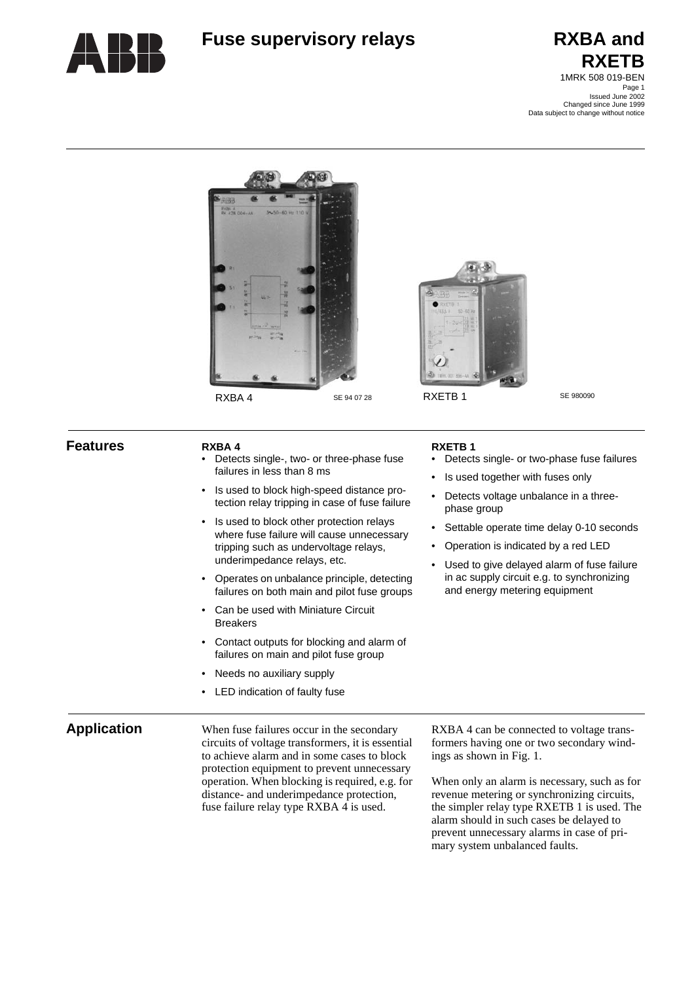

# **Fuse supervisory relays RXBA and**

# **RXETB** 1MRK 508 019-BEN

Page 1 Issued June 2002 Changed since June 1999 Data subject to change without notice





**RXETB 1**

phase group

• Detects single- or two-phase fuse failures

Settable operate time delay 0-10 seconds

Is used together with fuses only • Detects voltage unbalance in a three-

• Operation is indicated by a red LED • Used to give delayed alarm of fuse failure in ac supply circuit e.g. to synchronizing and energy metering equipment

### **Features RXBA 4**

- Detects single-, two- or three-phase fuse failures in less than 8 ms
- Is used to block high-speed distance protection relay tripping in case of fuse failure
- Is used to block other protection relays where fuse failure will cause unnecessary tripping such as undervoltage relays, underimpedance relays, etc.
- Operates on unbalance principle, detecting failures on both main and pilot fuse groups
- Can be used with Miniature Circuit Breakers
- Contact outputs for blocking and alarm of failures on main and pilot fuse group
- Needs no auxiliary supply
- LED indication of faulty fuse

**Application** When fuse failures occur in the secondary circuits of voltage transformers, it is essential to achieve alarm and in some cases to block protection equipment to prevent unnecessary operation. When blocking is required, e.g. for distance- and underimpedance protection, fuse failure relay type RXBA 4 is used.

RXBA 4 can be connected to voltage transformers having one or two secondary windings as shown in [Fig. 1](#page-1-0).

When only an alarm is necessary, such as for revenue metering or synchronizing circuits, the simpler relay type RXETB 1 is used. The alarm should in such cases be delayed to prevent unnecessary alarms in case of primary system unbalanced faults.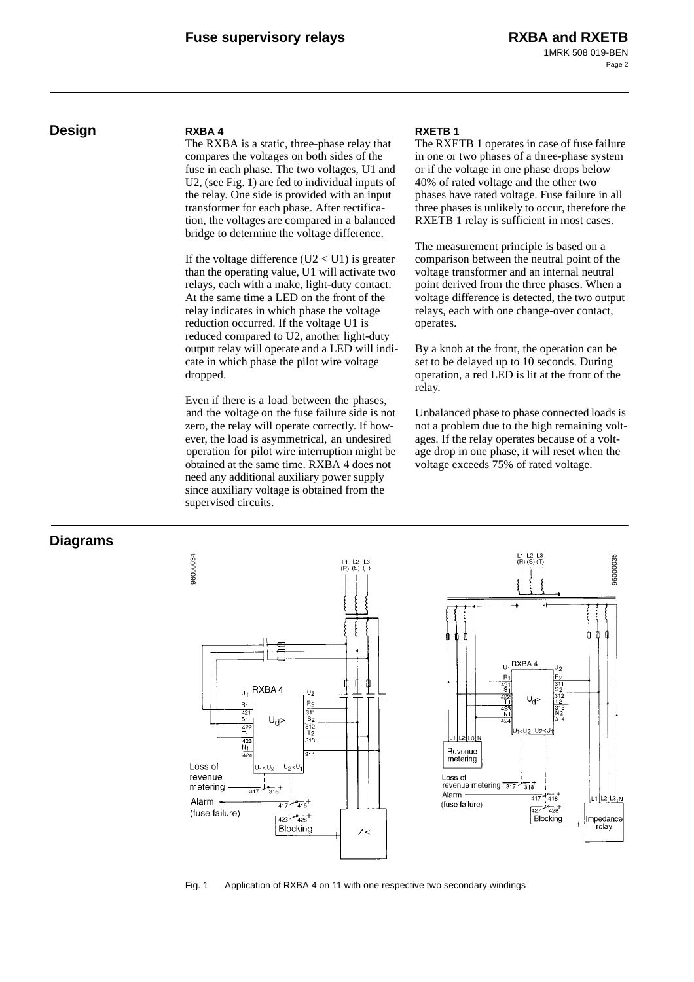### **Design RXBA 4**

The RXBA is a static, three-phase relay that compares the voltages on both sides of the fuse in each phase. The two voltages, U1 and U2, (see [Fig. 1\)](#page-1-0) are fed to individual inputs of the relay. One side is provided with an input transformer for each phase. After rectification, the voltages are compared in a balanced bridge to determine the voltage difference.

If the voltage difference  $(U2 < U1)$  is greater than the operating value, U1 will activate two relays, each with a make, light-duty contact. At the same time a LED on the front of the relay indicates in which phase the voltage reduction occurred. If the voltage U1 is reduced compared to U2, another light-duty output relay will operate and a LED will indicate in which phase the pilot wire voltage dropped.

Even if there is a load between the phases, and the voltage on the fuse failure side is not zero, the relay will operate correctly. If however, the load is asymmetrical, an undesired operation for pilot wire interruption might be obtained at the same time. RXBA 4 does not need any additional auxiliary power supply since auxiliary voltage is obtained from the supervised circuits.

### **RXETB 1**

The RXETB 1 operates in case of fuse failure in one or two phases of a three-phase system or if the voltage in one phase drops below 40% of rated voltage and the other two phases have rated voltage. Fuse failure in all three phases is unlikely to occur, therefore the RXETB 1 relay is sufficient in most cases.

The measurement principle is based on a comparison between the neutral point of the voltage transformer and an internal neutral point derived from the three phases. When a voltage difference is detected, the two output relays, each with one change-over contact, operates.

By a knob at the front, the operation can be set to be delayed up to 10 seconds. During operation, a red LED is lit at the front of the relay.

Unbalanced phase to phase connected loads is not a problem due to the high remaining voltages. If the relay operates because of a voltage drop in one phase, it will reset when the voltage exceeds 75% of rated voltage.

### **Diagrams**



<span id="page-1-0"></span>Fig. 1 Application of RXBA 4 on 11 with one respective two secondary windings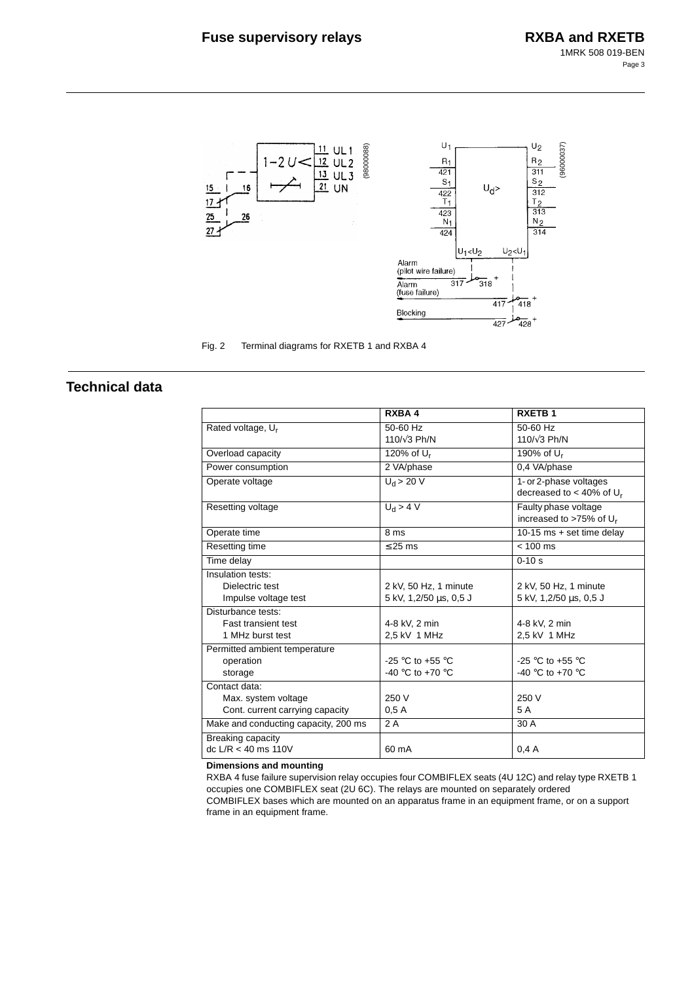

Fig. 2 Terminal diagrams for RXETB 1 and RXBA 4

## **Technical data**

|                                      | RXBA4                  | <b>RXETB1</b>                          |
|--------------------------------------|------------------------|----------------------------------------|
| Rated voltage, U <sub>r</sub>        | 50-60 Hz               | 50-60 Hz                               |
|                                      | 110/ $\sqrt{3}$ Ph/N   | 110/ $\sqrt{3}$ Ph/N                   |
| Overload capacity                    | 120% of $U_r$          | 190% of $U_r$                          |
| Power consumption                    | 2 VA/phase             | 0,4 VA/phase                           |
| Operate voltage                      | $U_d$ > 20 V           | 1- or 2-phase voltages                 |
|                                      |                        | decreased to $<$ 40% of U <sub>r</sub> |
| Resetting voltage                    | $U_d > 4 V$            | Faulty phase voltage                   |
|                                      |                        | increased to >75% of U <sub>r</sub>    |
| Operate time                         | 8 ms                   | 10-15 ms $+$ set time delay            |
| Resetting time                       | $\leq$ 25 ms           | $< 100$ ms                             |
| Time delay                           |                        | $0 - 10s$                              |
| Insulation tests:                    |                        |                                        |
| Dielectric test                      | 2 kV, 50 Hz, 1 minute  | 2 kV, 50 Hz, 1 minute                  |
| Impulse voltage test                 | 5 kV, 1,2/50 µs, 0,5 J | 5 kV, 1,2/50 µs, 0,5 J                 |
| Disturbance tests:                   |                        |                                        |
| <b>Fast transient test</b>           | 4-8 kV, 2 min          | 4-8 kV, 2 min                          |
| 1 MHz burst test                     | 2,5 kV 1 MHz           | 2,5 kV 1 MHz                           |
| Permitted ambient temperature        |                        |                                        |
| operation                            | -25 °C to +55 °C       | -25 °C to +55 °C                       |
| storage                              | -40 °C to +70 °C       | -40 °C to +70 °C                       |
| Contact data:                        |                        |                                        |
| Max. system voltage                  | 250 V                  | 250 V                                  |
| Cont. current carrying capacity      | 0.5A                   | 5 A                                    |
| Make and conducting capacity, 200 ms | 2A                     | 30 A                                   |
| Breaking capacity                    |                        |                                        |
| dc $L/R < 40$ ms 110V                | 60 mA                  | 0.4A                                   |

**Dimensions and mounting**

RXBA 4 fuse failure supervision relay occupies four COMBIFLEX seats (4U 12C) and relay type RXETB 1 occupies one COMBIFLEX seat (2U 6C). The relays are mounted on separately ordered COMBIFLEX bases which are mounted on an apparatus frame in an equipment frame, or on a support frame in an equipment frame.